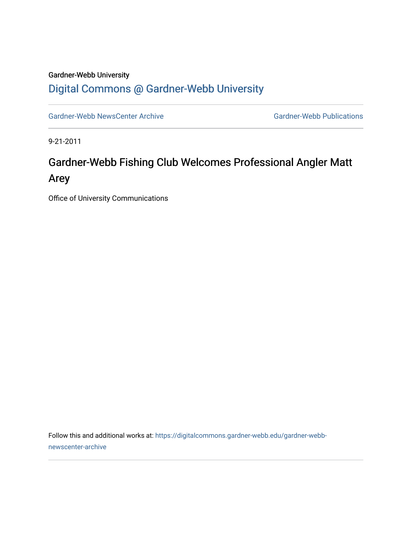## Gardner-Webb University [Digital Commons @ Gardner-Webb University](https://digitalcommons.gardner-webb.edu/)

[Gardner-Webb NewsCenter Archive](https://digitalcommons.gardner-webb.edu/gardner-webb-newscenter-archive) Gardner-Webb Publications

9-21-2011

## Gardner-Webb Fishing Club Welcomes Professional Angler Matt Arey

Office of University Communications

Follow this and additional works at: [https://digitalcommons.gardner-webb.edu/gardner-webb](https://digitalcommons.gardner-webb.edu/gardner-webb-newscenter-archive?utm_source=digitalcommons.gardner-webb.edu%2Fgardner-webb-newscenter-archive%2F2028&utm_medium=PDF&utm_campaign=PDFCoverPages)[newscenter-archive](https://digitalcommons.gardner-webb.edu/gardner-webb-newscenter-archive?utm_source=digitalcommons.gardner-webb.edu%2Fgardner-webb-newscenter-archive%2F2028&utm_medium=PDF&utm_campaign=PDFCoverPages)